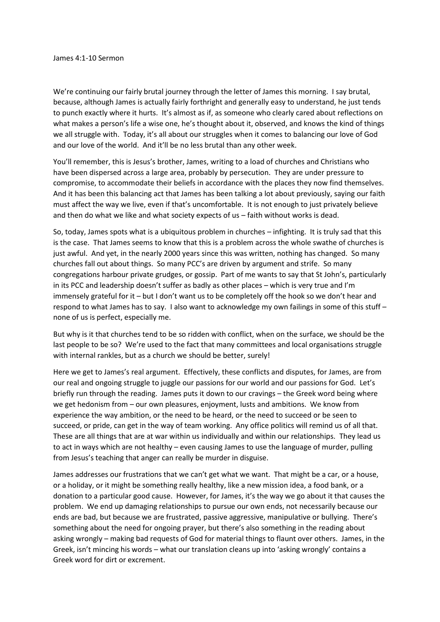We're continuing our fairly brutal journey through the letter of James this morning. I say brutal, because, although James is actually fairly forthright and generally easy to understand, he just tends to punch exactly where it hurts. It's almost as if, as someone who clearly cared about reflections on what makes a person's life a wise one, he's thought about it, observed, and knows the kind of things we all struggle with. Today, it's all about our struggles when it comes to balancing our love of God and our love of the world. And it'll be no less brutal than any other week.

You'll remember, this is Jesus's brother, James, writing to a load of churches and Christians who have been dispersed across a large area, probably by persecution. They are under pressure to compromise, to accommodate their beliefs in accordance with the places they now find themselves. And it has been this balancing act that James has been talking a lot about previously, saying our faith must affect the way we live, even if that's uncomfortable. It is not enough to just privately believe and then do what we like and what society expects of us – faith without works is dead.

So, today, James spots what is a ubiquitous problem in churches – infighting. It is truly sad that this is the case. That James seems to know that this is a problem across the whole swathe of churches is just awful. And yet, in the nearly 2000 years since this was written, nothing has changed. So many churches fall out about things. So many PCC's are driven by argument and strife. So many congregations harbour private grudges, or gossip. Part of me wants to say that St John's, particularly in its PCC and leadership doesn't suffer as badly as other places – which is very true and I'm immensely grateful for it – but I don't want us to be completely off the hook so we don't hear and respond to what James has to say. I also want to acknowledge my own failings in some of this stuff – none of us is perfect, especially me.

But why is it that churches tend to be so ridden with conflict, when on the surface, we should be the last people to be so? We're used to the fact that many committees and local organisations struggle with internal rankles, but as a church we should be better, surely!

Here we get to James's real argument. Effectively, these conflicts and disputes, for James, are from our real and ongoing struggle to juggle our passions for our world and our passions for God. Let's briefly run through the reading. James puts it down to our cravings – the Greek word being where we get hedonism from – our own pleasures, enjoyment, lusts and ambitions. We know from experience the way ambition, or the need to be heard, or the need to succeed or be seen to succeed, or pride, can get in the way of team working. Any office politics will remind us of all that. These are all things that are at war within us individually and within our relationships. They lead us to act in ways which are not healthy – even causing James to use the language of murder, pulling from Jesus's teaching that anger can really be murder in disguise.

James addresses our frustrations that we can't get what we want. That might be a car, or a house, or a holiday, or it might be something really healthy, like a new mission idea, a food bank, or a donation to a particular good cause. However, for James, it's the way we go about it that causes the problem. We end up damaging relationships to pursue our own ends, not necessarily because our ends are bad, but because we are frustrated, passive aggressive, manipulative or bullying. There's something about the need for ongoing prayer, but there's also something in the reading about asking wrongly – making bad requests of God for material things to flaunt over others. James, in the Greek, isn't mincing his words – what our translation cleans up into 'asking wrongly' contains a Greek word for dirt or excrement.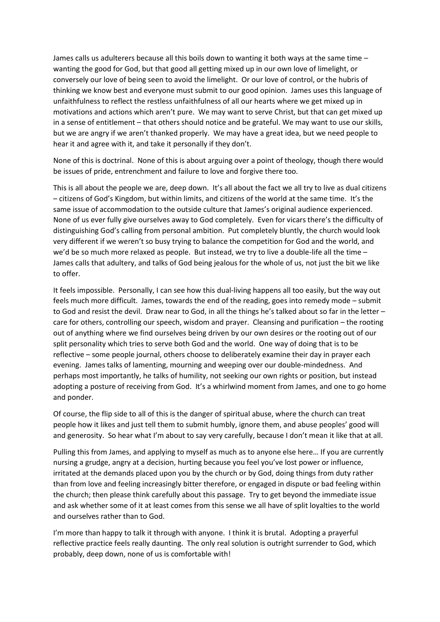James calls us adulterers because all this boils down to wanting it both ways at the same time – wanting the good for God, but that good all getting mixed up in our own love of limelight, or conversely our love of being seen to avoid the limelight. Or our love of control, or the hubris of thinking we know best and everyone must submit to our good opinion. James uses this language of unfaithfulness to reflect the restless unfaithfulness of all our hearts where we get mixed up in motivations and actions which aren't pure. We may want to serve Christ, but that can get mixed up in a sense of entitlement – that others should notice and be grateful. We may want to use our skills, but we are angry if we aren't thanked properly. We may have a great idea, but we need people to hear it and agree with it, and take it personally if they don't.

None of this is doctrinal. None of this is about arguing over a point of theology, though there would be issues of pride, entrenchment and failure to love and forgive there too.

This is all about the people we are, deep down. It's all about the fact we all try to live as dual citizens – citizens of God's Kingdom, but within limits, and citizens of the world at the same time. It's the same issue of accommodation to the outside culture that James's original audience experienced. None of us ever fully give ourselves away to God completely. Even for vicars there's the difficulty of distinguishing God's calling from personal ambition. Put completely bluntly, the church would look very different if we weren't so busy trying to balance the competition for God and the world, and we'd be so much more relaxed as people. But instead, we try to live a double-life all the time – James calls that adultery, and talks of God being jealous for the whole of us, not just the bit we like to offer.

It feels impossible. Personally, I can see how this dual-living happens all too easily, but the way out feels much more difficult. James, towards the end of the reading, goes into remedy mode – submit to God and resist the devil. Draw near to God, in all the things he's talked about so far in the letter – care for others, controlling our speech, wisdom and prayer. Cleansing and purification – the rooting out of anything where we find ourselves being driven by our own desires or the rooting out of our split personality which tries to serve both God and the world. One way of doing that is to be reflective – some people journal, others choose to deliberately examine their day in prayer each evening. James talks of lamenting, mourning and weeping over our double-mindedness. And perhaps most importantly, he talks of humility, not seeking our own rights or position, but instead adopting a posture of receiving from God. It's a whirlwind moment from James, and one to go home and ponder.

Of course, the flip side to all of this is the danger of spiritual abuse, where the church can treat people how it likes and just tell them to submit humbly, ignore them, and abuse peoples' good will and generosity. So hear what I'm about to say very carefully, because I don't mean it like that at all.

Pulling this from James, and applying to myself as much as to anyone else here… If you are currently nursing a grudge, angry at a decision, hurting because you feel you've lost power or influence, irritated at the demands placed upon you by the church or by God, doing things from duty rather than from love and feeling increasingly bitter therefore, or engaged in dispute or bad feeling within the church; then please think carefully about this passage. Try to get beyond the immediate issue and ask whether some of it at least comes from this sense we all have of split loyalties to the world and ourselves rather than to God.

I'm more than happy to talk it through with anyone. I think it is brutal. Adopting a prayerful reflective practice feels really daunting. The only real solution is outright surrender to God, which probably, deep down, none of us is comfortable with!